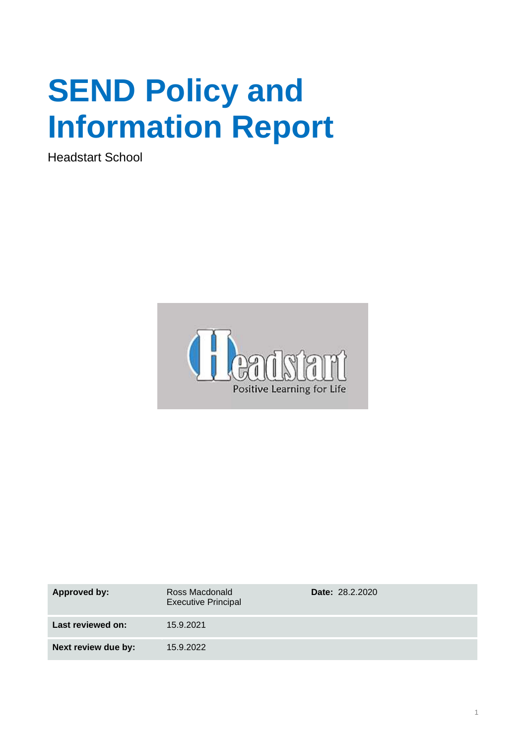# **SEND Policy and Information Report**

Headstart School



| Approved by:        | Ross Macdonald<br><b>Executive Principal</b> | <b>Date: 28.2.2020</b> |
|---------------------|----------------------------------------------|------------------------|
| Last reviewed on:   | 15.9.2021                                    |                        |
| Next review due by: | 15.9.2022                                    |                        |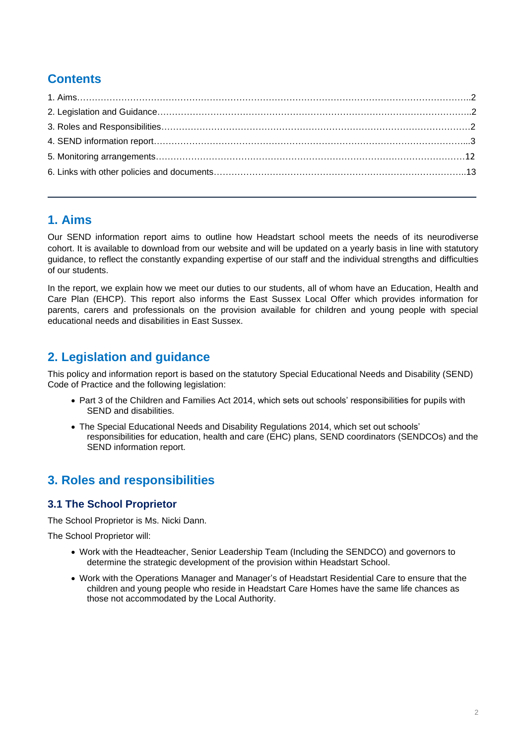# **Contents**

## **1. Aims**

Our SEND information report aims to outline how Headstart school meets the needs of its neurodiverse cohort. It is available to download from our website and will be updated on a yearly basis in line with statutory guidance, to reflect the constantly expanding expertise of our staff and the individual strengths and difficulties of our students.

In the report, we explain how we meet our duties to our students, all of whom have an Education, Health and Care Plan (EHCP). This report also informs the East Sussex Local Offer which provides information for parents, carers and professionals on the provision available for children and young people with special educational needs and disabilities in East Sussex.

# **2. Legislation and guidance**

This policy and information report is based on the statutory Special Educational Needs and Disability (SEND) Code of Practice and the following legislation:

- Part 3 of the Children and Families Act 2014, which sets out schools' responsibilities for pupils with SEND and disabilities.
- The Special Educational Needs and Disability Regulations 2014, which set out schools' responsibilities for education, health and care (EHC) plans, SEND coordinators (SENDCOs) and the SEND information report.

# **3. Roles and responsibilities**

## **3.1 The School Proprietor**

The School Proprietor is Ms. Nicki Dann.

The School Proprietor will:

- Work with the Headteacher, Senior Leadership Team (Including the SENDCO) and governors to determine the strategic development of the provision within Headstart School.
- Work with the Operations Manager and Manager's of Headstart Residential Care to ensure that the children and young people who reside in Headstart Care Homes have the same life chances as those not accommodated by the Local Authority.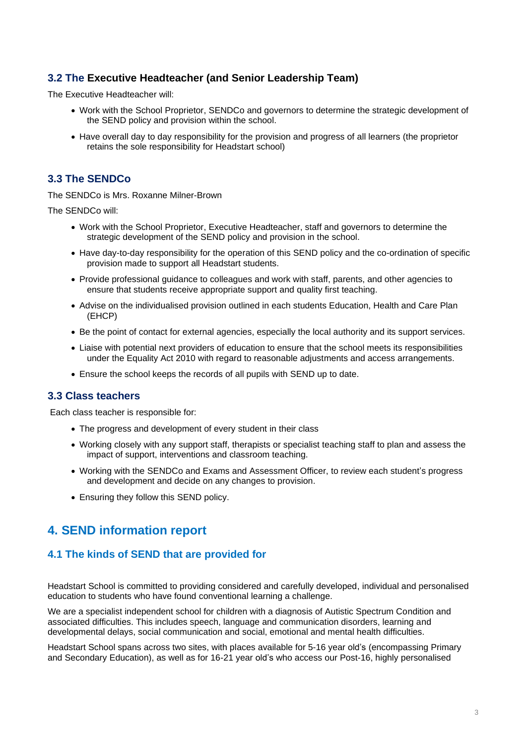## **3.2 The Executive Headteacher (and Senior Leadership Team)**

The Executive Headteacher will:

- Work with the School Proprietor, SENDCo and governors to determine the strategic development of the SEND policy and provision within the school.
- Have overall day to day responsibility for the provision and progress of all learners (the proprietor retains the sole responsibility for Headstart school)

## **3.3 The SENDCo**

The SENDCo is Mrs. Roxanne Milner-Brown

The SENDCo will:

- Work with the School Proprietor, Executive Headteacher, staff and governors to determine the strategic development of the SEND policy and provision in the school.
- Have day-to-day responsibility for the operation of this SEND policy and the co-ordination of specific provision made to support all Headstart students.
- Provide professional guidance to colleagues and work with staff, parents, and other agencies to ensure that students receive appropriate support and quality first teaching.
- Advise on the individualised provision outlined in each students Education, Health and Care Plan (EHCP)
- Be the point of contact for external agencies, especially the local authority and its support services.
- Liaise with potential next providers of education to ensure that the school meets its responsibilities under the Equality Act 2010 with regard to reasonable adjustments and access arrangements.
- Ensure the school keeps the records of all pupils with SEND up to date.

#### **3.3 Class teachers**

Each class teacher is responsible for:

- The progress and development of every student in their class
- Working closely with any support staff, therapists or specialist teaching staff to plan and assess the impact of support, interventions and classroom teaching.
- Working with the SENDCo and Exams and Assessment Officer, to review each student's progress and development and decide on any changes to provision.
- Ensuring they follow this SEND policy.

# <span id="page-2-0"></span>**4. SEND information report**

## **4.1 The kinds of SEND that are provided for**

Headstart School is committed to providing considered and carefully developed, individual and personalised education to students who have found conventional learning a challenge.

We are a specialist independent school for children with a diagnosis of Autistic Spectrum Condition and associated difficulties. This includes speech, language and communication disorders, learning and developmental delays, social communication and social, emotional and mental health difficulties.

Headstart School spans across two sites, with places available for 5-16 year old's (encompassing Primary and Secondary Education), as well as for 16-21 year old's who access our Post-16, highly personalised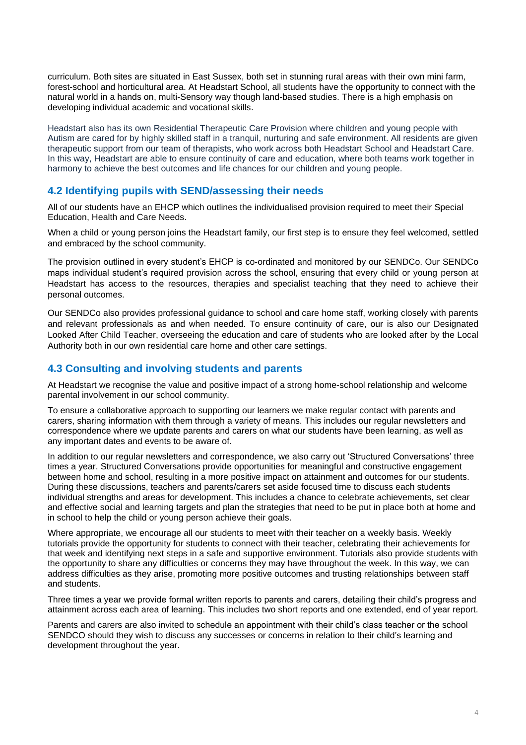curriculum. Both sites are situated in East Sussex, both set in stunning rural areas with their own mini farm, forest-school and horticultural area. At Headstart School, all students have the opportunity to connect with the natural world in a hands on, multi-Sensory way though land-based studies. There is a high emphasis on developing individual academic and vocational skills.

Headstart also has its own Residential Therapeutic Care Provision where children and young people with Autism are cared for by highly skilled staff in a tranquil, nurturing and safe environment. All residents are given therapeutic support from our team of therapists, who work across both Headstart School and Headstart Care. In this way, Headstart are able to ensure continuity of care and education, where both teams work together in harmony to achieve the best outcomes and life chances for our children and young people.

#### **4.2 Identifying pupils with SEND/assessing their needs**

All of our students have an EHCP which outlines the individualised provision required to meet their Special Education, Health and Care Needs.

When a child or young person joins the Headstart family, our first step is to ensure they feel welcomed, settled and embraced by the school community.

The provision outlined in every student's EHCP is co-ordinated and monitored by our SENDCo. Our SENDCo maps individual student's required provision across the school, ensuring that every child or young person at Headstart has access to the resources, therapies and specialist teaching that they need to achieve their personal outcomes.

Our SENDCo also provides professional guidance to school and care home staff, working closely with parents and relevant professionals as and when needed. To ensure continuity of care, our is also our Designated Looked After Child Teacher, overseeing the education and care of students who are looked after by the Local Authority both in our own residential care home and other care settings.

#### **4.3 Consulting and involving students and parents**

At Headstart we recognise the value and positive impact of a strong home-school relationship and welcome parental involvement in our school community.

To ensure a collaborative approach to supporting our learners we make regular contact with parents and carers, sharing information with them through a variety of means. This includes our regular newsletters and correspondence where we update parents and carers on what our students have been learning, as well as any important dates and events to be aware of.

In addition to our regular newsletters and correspondence, we also carry out 'Structured Conversations' three times a year. Structured Conversations provide opportunities for meaningful and constructive engagement between home and school, resulting in a more positive impact on attainment and outcomes for our students. During these discussions, teachers and parents/carers set aside focused time to discuss each students individual strengths and areas for development. This includes a chance to celebrate achievements, set clear and effective social and learning targets and plan the strategies that need to be put in place both at home and in school to help the child or young person achieve their goals.

Where appropriate, we encourage all our students to meet with their teacher on a weekly basis. Weekly tutorials provide the opportunity for students to connect with their teacher, celebrating their achievements for that week and identifying next steps in a safe and supportive environment. Tutorials also provide students with the opportunity to share any difficulties or concerns they may have throughout the week. In this way, we can address difficulties as they arise, promoting more positive outcomes and trusting relationships between staff and students.

Three times a year we provide formal written reports to parents and carers, detailing their child's progress and attainment across each area of learning. This includes two short reports and one extended, end of year report.

Parents and carers are also invited to schedule an appointment with their child's class teacher or the school SENDCO should they wish to discuss any successes or concerns in relation to their child's learning and development throughout the year.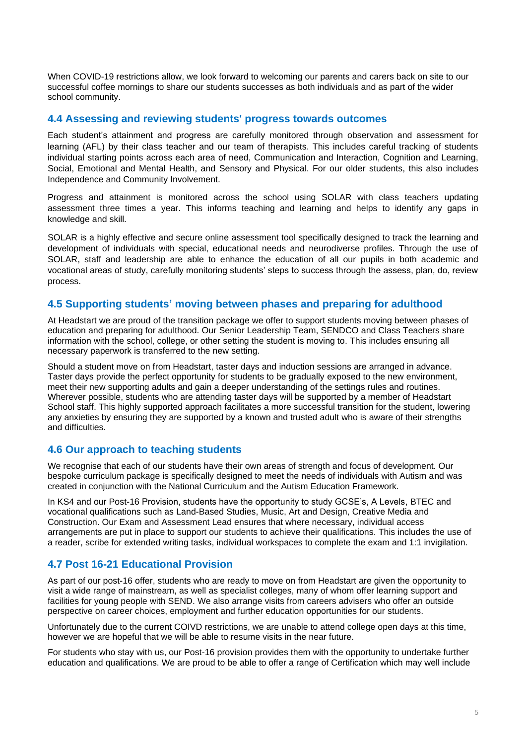When COVID-19 restrictions allow, we look forward to welcoming our parents and carers back on site to our successful coffee mornings to share our students successes as both individuals and as part of the wider school community.

#### **4.4 Assessing and reviewing students' progress towards outcomes**

Each student's attainment and progress are carefully monitored through observation and assessment for learning (AFL) by their class teacher and our team of therapists. This includes careful tracking of students individual starting points across each area of need, Communication and Interaction, Cognition and Learning, Social, Emotional and Mental Health, and Sensory and Physical. For our older students, this also includes Independence and Community Involvement.

Progress and attainment is monitored across the school using SOLAR with class teachers updating assessment three times a year. This informs teaching and learning and helps to identify any gaps in knowledge and skill.

SOLAR is a highly effective and secure online assessment tool specifically designed to track the learning and development of individuals with special, educational needs and neurodiverse profiles. Through the use of SOLAR, staff and leadership are able to enhance the education of all our pupils in both academic and vocational areas of study, carefully monitoring students' steps to success through the assess, plan, do, review process.

#### **4.5 Supporting students' moving between phases and preparing for adulthood**

At Headstart we are proud of the transition package we offer to support students moving between phases of education and preparing for adulthood. Our Senior Leadership Team, SENDCO and Class Teachers share information with the school, college, or other setting the student is moving to. This includes ensuring all necessary paperwork is transferred to the new setting.

Should a student move on from Headstart, taster days and induction sessions are arranged in advance. Taster days provide the perfect opportunity for students to be gradually exposed to the new environment, meet their new supporting adults and gain a deeper understanding of the settings rules and routines. Wherever possible, students who are attending taster days will be supported by a member of Headstart School staff. This highly supported approach facilitates a more successful transition for the student, lowering any anxieties by ensuring they are supported by a known and trusted adult who is aware of their strengths and difficulties.

#### **4.6 Our approach to teaching students**

We recognise that each of our students have their own areas of strength and focus of development. Our bespoke curriculum package is specifically designed to meet the needs of individuals with Autism and was created in conjunction with the National Curriculum and the Autism Education Framework.

In KS4 and our Post-16 Provision, students have the opportunity to study GCSE's, A Levels, BTEC and vocational qualifications such as Land-Based Studies, Music, Art and Design, Creative Media and Construction. Our Exam and Assessment Lead ensures that where necessary, individual access arrangements are put in place to support our students to achieve their qualifications. This includes the use of a reader, scribe for extended writing tasks, individual workspaces to complete the exam and 1:1 invigilation.

#### **4.7 Post 16-21 Educational Provision**

As part of our post-16 offer, students who are ready to move on from Headstart are given the opportunity to visit a wide range of mainstream, as well as specialist colleges, many of whom offer learning support and facilities for young people with SEND. We also arrange visits from careers advisers who offer an outside perspective on career choices, employment and further education opportunities for our students.

Unfortunately due to the current COIVD restrictions, we are unable to attend college open days at this time, however we are hopeful that we will be able to resume visits in the near future.

For students who stay with us, our Post-16 provision provides them with the opportunity to undertake further education and qualifications. We are proud to be able to offer a range of Certification which may well include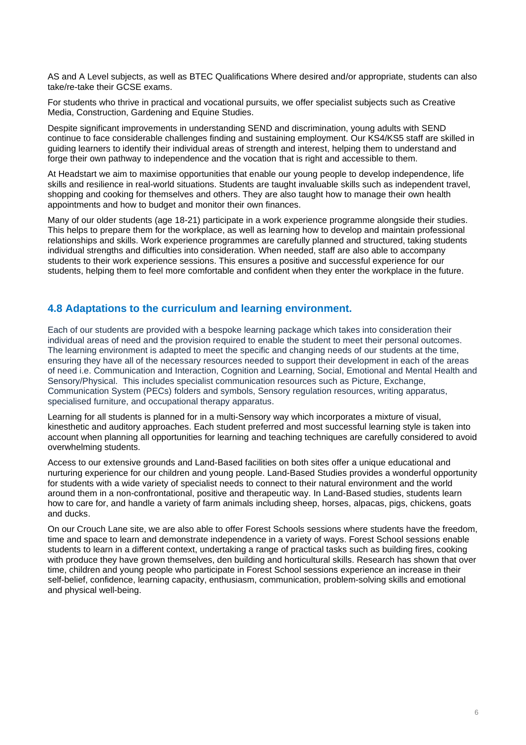AS and A Level subjects, as well as BTEC Qualifications Where desired and/or appropriate, students can also take/re-take their GCSE exams.

For students who thrive in practical and vocational pursuits, we offer specialist subjects such as Creative Media, Construction, Gardening and Equine Studies.

Despite significant improvements in understanding SEND and discrimination, young adults with SEND continue to face considerable challenges finding and sustaining employment. Our KS4/KS5 staff are skilled in guiding learners to identify their individual areas of strength and interest, helping them to understand and forge their own pathway to independence and the vocation that is right and accessible to them.

At Headstart we aim to maximise opportunities that enable our young people to develop independence, life skills and resilience in real-world situations. Students are taught invaluable skills such as independent travel, shopping and cooking for themselves and others. They are also taught how to manage their own health appointments and how to budget and monitor their own finances.

Many of our older students (age 18-21) participate in a work experience programme alongside their studies. This helps to prepare them for the workplace, as well as learning how to develop and maintain professional relationships and skills. Work experience programmes are carefully planned and structured, taking students individual strengths and difficulties into consideration. When needed, staff are also able to accompany students to their work experience sessions. This ensures a positive and successful experience for our students, helping them to feel more comfortable and confident when they enter the workplace in the future.

#### **4.8 Adaptations to the curriculum and learning environment.**

Each of our students are provided with a bespoke learning package which takes into consideration their individual areas of need and the provision required to enable the student to meet their personal outcomes. The learning environment is adapted to meet the specific and changing needs of our students at the time, ensuring they have all of the necessary resources needed to support their development in each of the areas of need i.e. Communication and Interaction, Cognition and Learning, Social, Emotional and Mental Health and Sensory/Physical. This includes specialist communication resources such as Picture, Exchange, Communication System (PECs) folders and symbols, Sensory regulation resources, writing apparatus, specialised furniture, and occupational therapy apparatus.

Learning for all students is planned for in a multi-Sensory way which incorporates a mixture of visual, kinesthetic and auditory approaches. Each student preferred and most successful learning style is taken into account when planning all opportunities for learning and teaching techniques are carefully considered to avoid overwhelming students.

Access to our extensive grounds and Land-Based facilities on both sites offer a unique educational and nurturing experience for our children and young people. Land-Based Studies provides a wonderful opportunity for students with a wide variety of specialist needs to connect to their natural environment and the world around them in a non-confrontational, positive and therapeutic way. In Land-Based studies, students learn how to care for, and handle a variety of farm animals including sheep, horses, alpacas, pigs, chickens, goats and ducks.

On our Crouch Lane site, we are also able to offer Forest Schools sessions where students have the freedom, time and space to learn and demonstrate independence in a variety of ways. Forest School sessions enable students to learn in a different context, undertaking a range of practical tasks such as building fires, cooking with produce they have grown themselves, den building and horticultural skills. Research has shown that over time, children and young people who participate in Forest School sessions experience an increase in their self-belief, confidence, learning capacity, enthusiasm, communication, problem-solving skills and emotional and physical well-being.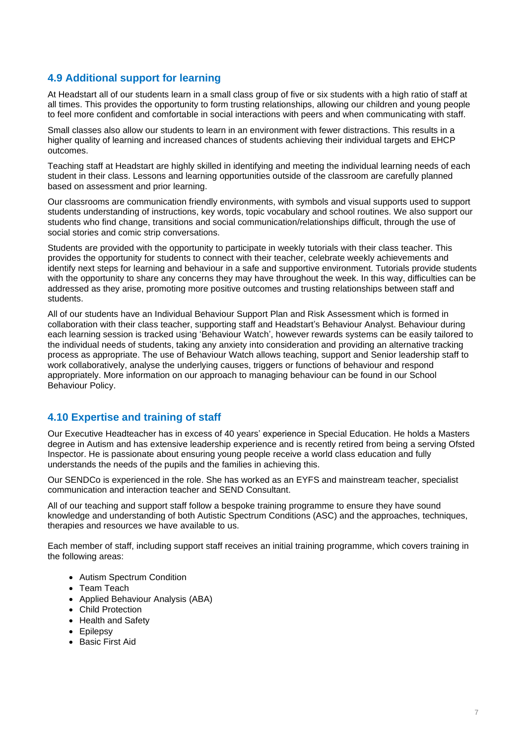## **4.9 Additional support for learning**

At Headstart all of our students learn in a small class group of five or six students with a high ratio of staff at all times. This provides the opportunity to form trusting relationships, allowing our children and young people to feel more confident and comfortable in social interactions with peers and when communicating with staff.

Small classes also allow our students to learn in an environment with fewer distractions. This results in a higher quality of learning and increased chances of students achieving their individual targets and EHCP outcomes.

Teaching staff at Headstart are highly skilled in identifying and meeting the individual learning needs of each student in their class. Lessons and learning opportunities outside of the classroom are carefully planned based on assessment and prior learning.

Our classrooms are communication friendly environments, with symbols and visual supports used to support students understanding of instructions, key words, topic vocabulary and school routines. We also support our students who find change, transitions and social communication/relationships difficult, through the use of social stories and comic strip conversations.

Students are provided with the opportunity to participate in weekly tutorials with their class teacher. This provides the opportunity for students to connect with their teacher, celebrate weekly achievements and identify next steps for learning and behaviour in a safe and supportive environment. Tutorials provide students with the opportunity to share any concerns they may have throughout the week. In this way, difficulties can be addressed as they arise, promoting more positive outcomes and trusting relationships between staff and students.

All of our students have an Individual Behaviour Support Plan and Risk Assessment which is formed in collaboration with their class teacher, supporting staff and Headstart's Behaviour Analyst. Behaviour during each learning session is tracked using 'Behaviour Watch', however rewards systems can be easily tailored to the individual needs of students, taking any anxiety into consideration and providing an alternative tracking process as appropriate. The use of Behaviour Watch allows teaching, support and Senior leadership staff to work collaboratively, analyse the underlying causes, triggers or functions of behaviour and respond appropriately. More information on our approach to managing behaviour can be found in our School Behaviour Policy.

#### **4.10 Expertise and training of staff**

Our Executive Headteacher has in excess of 40 years' experience in Special Education. He holds a Masters degree in Autism and has extensive leadership experience and is recently retired from being a serving Ofsted Inspector. He is passionate about ensuring young people receive a world class education and fully understands the needs of the pupils and the families in achieving this.

Our SENDCo is experienced in the role. She has worked as an EYFS and mainstream teacher, specialist communication and interaction teacher and SEND Consultant.

All of our teaching and support staff follow a bespoke training programme to ensure they have sound knowledge and understanding of both Autistic Spectrum Conditions (ASC) and the approaches, techniques, therapies and resources we have available to us.

Each member of staff, including support staff receives an initial training programme, which covers training in the following areas:

- Autism Spectrum Condition
- Team Teach
- Applied Behaviour Analysis (ABA)
- Child Protection
- Health and Safety
- Epilepsy
- Basic First Aid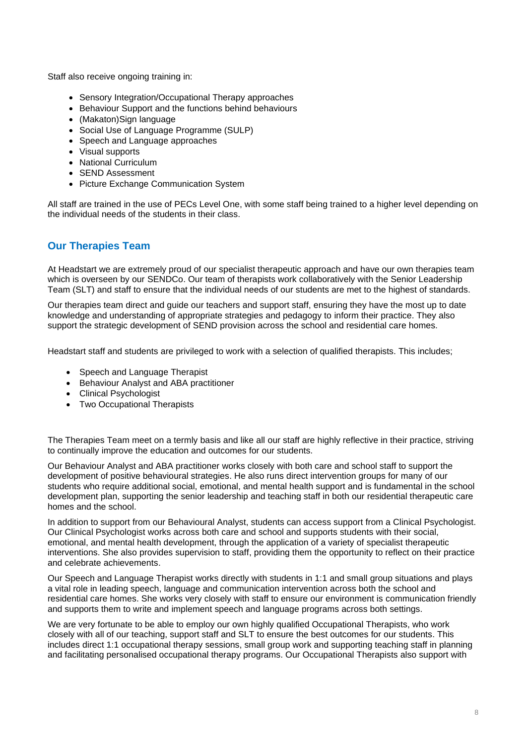Staff also receive ongoing training in:

- Sensory Integration/Occupational Therapy approaches
- Behaviour Support and the functions behind behaviours
- (Makaton)Sign language
- Social Use of Language Programme (SULP)
- Speech and Language approaches
- Visual supports
- National Curriculum
- SEND Assessment
- Picture Exchange Communication System

All staff are trained in the use of PECs Level One, with some staff being trained to a higher level depending on the individual needs of the students in their class.

### **Our Therapies Team**

At Headstart we are extremely proud of our specialist therapeutic approach and have our own therapies team which is overseen by our SENDCo. Our team of therapists work collaboratively with the Senior Leadership Team (SLT) and staff to ensure that the individual needs of our students are met to the highest of standards.

Our therapies team direct and guide our teachers and support staff, ensuring they have the most up to date knowledge and understanding of appropriate strategies and pedagogy to inform their practice. They also support the strategic development of SEND provision across the school and residential care homes.

Headstart staff and students are privileged to work with a selection of qualified therapists. This includes;

- Speech and Language Therapist
- Behaviour Analyst and ABA practitioner
- Clinical Psychologist
- Two Occupational Therapists

The Therapies Team meet on a termly basis and like all our staff are highly reflective in their practice, striving to continually improve the education and outcomes for our students.

Our Behaviour Analyst and ABA practitioner works closely with both care and school staff to support the development of positive behavioural strategies. He also runs direct intervention groups for many of our students who require additional social, emotional, and mental health support and is fundamental in the school development plan, supporting the senior leadership and teaching staff in both our residential therapeutic care homes and the school.

In addition to support from our Behavioural Analyst, students can access support from a Clinical Psychologist. Our Clinical Psychologist works across both care and school and supports students with their social, emotional, and mental health development, through the application of a variety of specialist therapeutic interventions. She also provides supervision to staff, providing them the opportunity to reflect on their practice and celebrate achievements.

Our Speech and Language Therapist works directly with students in 1:1 and small group situations and plays a vital role in leading speech, language and communication intervention across both the school and residential care homes. She works very closely with staff to ensure our environment is communication friendly and supports them to write and implement speech and language programs across both settings.

We are very fortunate to be able to employ our own highly qualified Occupational Therapists, who work closely with all of our teaching, support staff and SLT to ensure the best outcomes for our students. This includes direct 1:1 occupational therapy sessions, small group work and supporting teaching staff in planning and facilitating personalised occupational therapy programs. Our Occupational Therapists also support with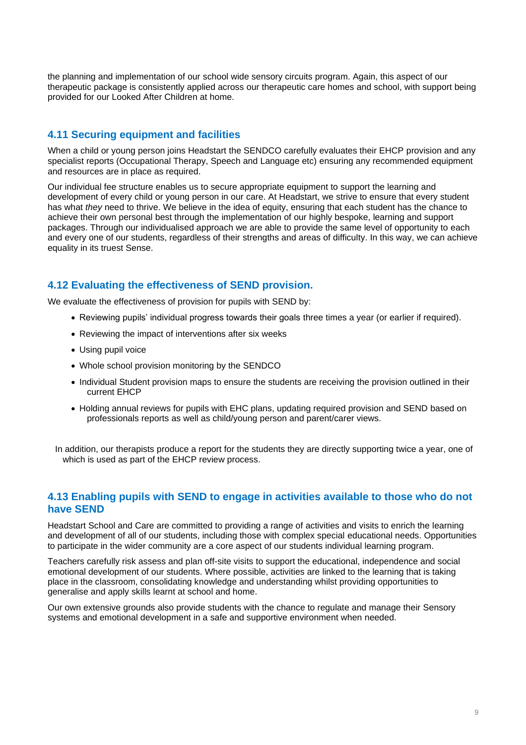the planning and implementation of our school wide sensory circuits program. Again, this aspect of our therapeutic package is consistently applied across our therapeutic care homes and school, with support being provided for our Looked After Children at home.

## **4.11 Securing equipment and facilities**

When a child or young person joins Headstart the SENDCO carefully evaluates their EHCP provision and any specialist reports (Occupational Therapy, Speech and Language etc) ensuring any recommended equipment and resources are in place as required.

Our individual fee structure enables us to secure appropriate equipment to support the learning and development of every child or young person in our care. At Headstart, we strive to ensure that every student has what *they* need to thrive. We believe in the idea of equity, ensuring that each student has the chance to achieve their own personal best through the implementation of our highly bespoke, learning and support packages. Through our individualised approach we are able to provide the same level of opportunity to each and every one of our students, regardless of their strengths and areas of difficulty. In this way, we can achieve equality in its truest Sense.

## **4.12 Evaluating the effectiveness of SEND provision.**

We evaluate the effectiveness of provision for pupils with SEND by:

- Reviewing pupils' individual progress towards their goals three times a year (or earlier if required).
- Reviewing the impact of interventions after six weeks
- Using pupil voice
- Whole school provision monitoring by the SENDCO
- Individual Student provision maps to ensure the students are receiving the provision outlined in their current EHCP
- Holding annual reviews for pupils with EHC plans, updating required provision and SEND based on professionals reports as well as child/young person and parent/carer views.

In addition, our therapists produce a report for the students they are directly supporting twice a year, one of which is used as part of the EHCP review process.

#### **4.13 Enabling pupils with SEND to engage in activities available to those who do not have SEND**

Headstart School and Care are committed to providing a range of activities and visits to enrich the learning and development of all of our students, including those with complex special educational needs. Opportunities to participate in the wider community are a core aspect of our students individual learning program.

Teachers carefully risk assess and plan off-site visits to support the educational, independence and social emotional development of our students. Where possible, activities are linked to the learning that is taking place in the classroom, consolidating knowledge and understanding whilst providing opportunities to generalise and apply skills learnt at school and home.

Our own extensive grounds also provide students with the chance to regulate and manage their Sensory systems and emotional development in a safe and supportive environment when needed.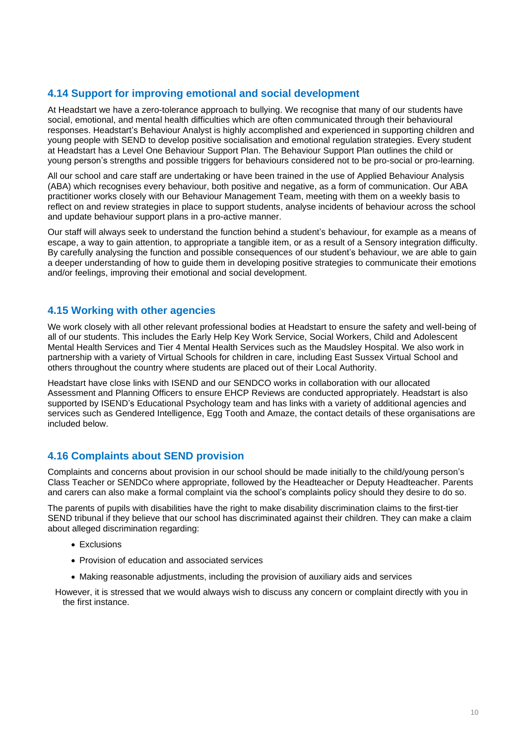## **4.14 Support for improving emotional and social development**

At Headstart we have a zero-tolerance approach to bullying. We recognise that many of our students have social, emotional, and mental health difficulties which are often communicated through their behavioural responses. Headstart's Behaviour Analyst is highly accomplished and experienced in supporting children and young people with SEND to develop positive socialisation and emotional regulation strategies. Every student at Headstart has a Level One Behaviour Support Plan. The Behaviour Support Plan outlines the child or young person's strengths and possible triggers for behaviours considered not to be pro-social or pro-learning.

All our school and care staff are undertaking or have been trained in the use of Applied Behaviour Analysis (ABA) which recognises every behaviour, both positive and negative, as a form of communication. Our ABA practitioner works closely with our Behaviour Management Team, meeting with them on a weekly basis to reflect on and review strategies in place to support students, analyse incidents of behaviour across the school and update behaviour support plans in a pro-active manner.

Our staff will always seek to understand the function behind a student's behaviour, for example as a means of escape, a way to gain attention, to appropriate a tangible item, or as a result of a Sensory integration difficulty. By carefully analysing the function and possible consequences of our student's behaviour, we are able to gain a deeper understanding of how to guide them in developing positive strategies to communicate their emotions and/or feelings, improving their emotional and social development.

## **4.15 Working with other agencies**

We work closely with all other relevant professional bodies at Headstart to ensure the safety and well-being of all of our students. This includes the Early Help Key Work Service, Social Workers, Child and Adolescent Mental Health Services and Tier 4 Mental Health Services such as the Maudsley Hospital. We also work in partnership with a variety of Virtual Schools for children in care, including East Sussex Virtual School and others throughout the country where students are placed out of their Local Authority.

Headstart have close links with ISEND and our SENDCO works in collaboration with our allocated Assessment and Planning Officers to ensure EHCP Reviews are conducted appropriately. Headstart is also supported by ISEND's Educational Psychology team and has links with a variety of additional agencies and services such as Gendered Intelligence, Egg Tooth and Amaze, the contact details of these organisations are included below.

## **4.16 Complaints about SEND provision**

Complaints and concerns about provision in our school should be made initially to the child/young person's Class Teacher or SENDCo where appropriate, followed by the Headteacher or Deputy Headteacher. Parents and carers can also make a formal complaint via the school's complaints policy should they desire to do so.

The parents of pupils with disabilities have the right to make disability discrimination claims to the first-tier SEND tribunal if they believe that our school has discriminated against their children. They can make a claim about alleged discrimination regarding:

- Exclusions
- Provision of education and associated services
- Making reasonable adjustments, including the provision of auxiliary aids and services

However, it is stressed that we would always wish to discuss any concern or complaint directly with you in the first instance.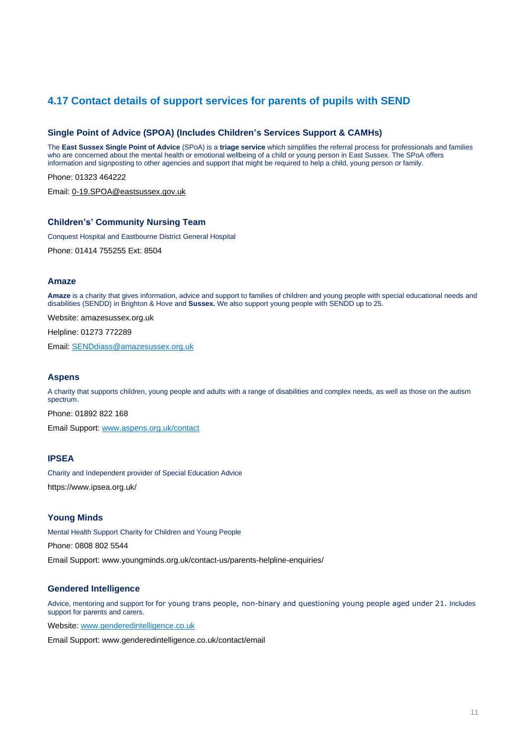## **4.17 Contact details of support services for parents of pupils with SEND**

#### **Single Point of Advice (SPOA) (Includes Children's Services Support & CAMHs)**

The **East Sussex Single Point of Advice** (SPoA) is a **triage service** which simplifies the referral process for professionals and families who are concerned about the mental health or emotional wellbeing of a child or young person in East Sussex. The SPoA offers information and signposting to other agencies and support that might be required to help a child, young person or family.

Phone: 01323 464222

Email: 0-19.SPOA@eastsussex.gov.uk

#### **Children's' Community Nursing Team**

Conquest Hospital and Eastbourne District General Hospital

Phone: 01414 755255 Ext: 8504

#### **Amaze**

**Amaze** is a charity that gives information, advice and support to families of children and young people with special educational needs and disabilities (SENDD) in Brighton & Hove and **Sussex.** We also support young people with SENDD up to 25.

Website: amazesussex.org.uk

Helpline: 01273 772289

Email: SENDdiass@amazesussex.org.uk

#### **Aspens**

A charity that supports children, young people and adults with a range of disabilities and complex needs, as well as those on the autism spectrum.

Phone: 01892 822 168

Email Support: www.aspens.org.uk/contact

#### **IPSEA**

Charity and Independent provider of Special Education Advice https://www.ipsea.org.uk/

#### **Young Minds**

Mental Health Support Charity for Children and Young People

Phone: 0808 802 5544

Email Support: www.youngminds.org.uk/contact-us/parents-helpline-enquiries/

#### **Gendered Intelligence**

Advice, mentoring and support for for young trans people, non-binary and questioning young people aged under 21. Includes support for parents and carers.

Website: www.genderedintelligence.co.uk

Email Support: www.genderedintelligence.co.uk/contact/email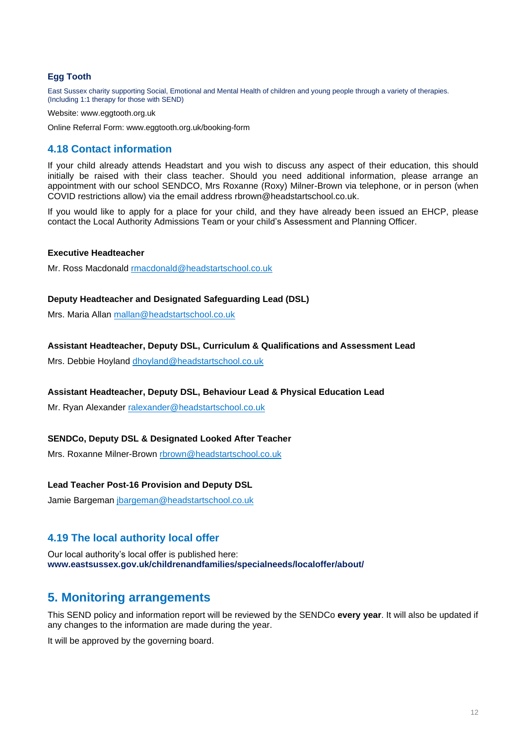#### **Egg Tooth**

East Sussex charity supporting Social, Emotional and Mental Health of children and young people through a variety of therapies. (Including 1:1 therapy for those with SEND)

Website: www.eggtooth.org.uk

Online Referral Form: www.eggtooth.org.uk/booking-form

#### **4.18 Contact information**

If your child already attends Headstart and you wish to discuss any aspect of their education, this should initially be raised with their class teacher. Should you need additional information, please arrange an appointment with our school SENDCO, Mrs Roxanne (Roxy) Milner-Brown via telephone, or in person (when COVID restrictions allow) via the email address rbrown@headstartschool.co.uk.

If you would like to apply for a place for your child, and they have already been issued an EHCP, please contact the Local Authority Admissions Team or your child's Assessment and Planning Officer.

#### **Executive Headteacher**

Mr. Ross Macdonald rmacdonald@headstartschool.co.uk

#### **Deputy Headteacher and Designated Safeguarding Lead (DSL)**

Mrs. Maria Allan mallan@headstartschool.co.uk

#### **Assistant Headteacher, Deputy DSL, Curriculum & Qualifications and Assessment Lead**

Mrs. Debbie Hoyland dhoyland@headstartschool.co.uk

#### **Assistant Headteacher, Deputy DSL, Behaviour Lead & Physical Education Lead**

Mr. Ryan Alexander ralexander@headstartschool.co.uk

#### **SENDCo, Deputy DSL & Designated Looked After Teacher**

Mrs. Roxanne Milner-Brown rbrown@headstartschool.co.uk

#### **Lead Teacher Post-16 Provision and Deputy DSL**

Jamie Bargeman jbargeman@headstartschool.co.uk

#### **4.19 The local authority local offer**

Our local authority's local offer is published here: **www.eastsussex.gov.uk/childrenandfamilies/specialneeds/localoffer/about/**

### **5. Monitoring arrangements**

This SEND policy and information report will be reviewed by the SENDCo **every year**. It will also be updated if any changes to the information are made during the year.

It will be approved by the governing board.